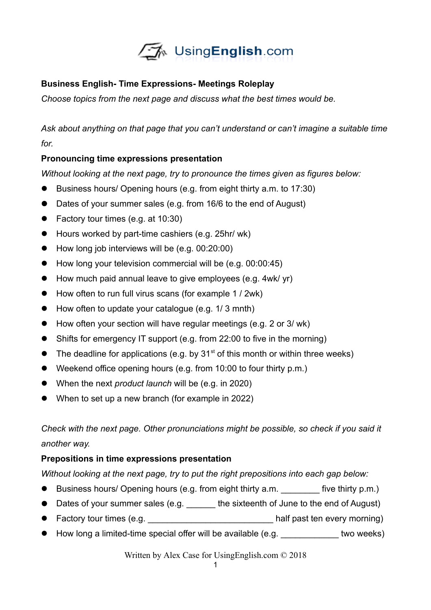

## **Business English- Time Expressions- Meetings Roleplay**

*Choose topics from the next page and discuss what the best times would be.* 

*Ask about anything on that page that you can't understand or can't imagine a suitable time for.*

## **Pronouncing time expressions presentation**

*Without looking at the next page, try to pronounce the times given as figures below:*

- Business hours/ Opening hours (e.g. from eight thirty a.m. to 17:30)
- Dates of your summer sales (e.g. from 16/6 to the end of August)
- Factory tour times (e.g. at 10:30)
- Hours worked by part-time cashiers (e.g. 25hr/ wk)
- $\bullet$  How long job interviews will be (e.g. 00:20:00)
- How long your television commercial will be (e.g. 00:00:45)
- How much paid annual leave to give employees (e.g. 4wk/ yr)
- How often to run full virus scans (for example 1 / 2wk)
- How often to update your catalogue (e.g. 1/3 mnth)
- How often your section will have regular meetings (e.g. 2 or 3/ wk)
- Shifts for emergency IT support (e.g. from 22:00 to five in the morning)
- $\bullet$  The deadline for applications (e.g. by 31<sup>st</sup> of this month or within three weeks)
- Weekend office opening hours (e.g. from 10:00 to four thirty p.m.)
- When the next *product launch* will be (e.g. in 2020)
- When to set up a new branch (for example in 2022)

*Check with the next page. Other pronunciations might be possible, so check if you said it another way.* 

## **Prepositions in time expressions presentation**

*Without looking at the next page, try to put the right prepositions into each gap below:*

- Business hours/ Opening hours (e.g. from eight thirty a.m. \_\_\_\_\_\_\_\_\_\_ five thirty p.m.)
- Dates of your summer sales (e.g. \_\_\_\_\_\_ the sixteenth of June to the end of August)
- Factory tour times (e.g. \_\_\_\_\_\_\_\_\_\_\_\_\_\_\_\_\_\_\_\_\_\_\_\_\_\_\_\_\_half past ten every morning)
- How long a limited-time special offer will be available (e.g. \_\_\_\_\_\_\_\_\_\_\_\_\_\_ two weeks)

Written by Alex Case for UsingEnglish.com © 2018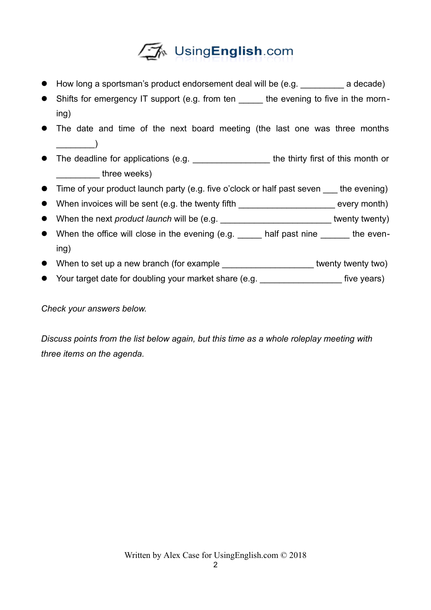

- How long a sportsman's product endorsement deal will be (e.g. \_\_\_\_\_\_\_\_\_\_\_ a decade)
- Shifts for emergency IT support (e.g. from ten the evening to five in the morning)
- The date and time of the next board meeting (the last one was three months  $\Box$
- The deadline for applications (e.g. The thirty first of this month or three weeks)
- Time of your product launch party (e.g. five o'clock or half past seven the evening)
- When invoices will be sent (e.g. the twenty fifth \_\_\_\_\_\_\_\_\_\_\_\_\_\_\_\_\_\_\_\_\_\_\_\_\_\_ every month)
- When the next *product launch* will be (e.g. \_\_\_\_\_\_\_\_\_\_\_\_\_\_\_\_\_\_\_\_\_\_\_ twenty twenty)
- When the office will close in the evening (e.g. \_\_\_\_\_ half past nine \_\_\_\_\_\_ the evening)
- When to set up a new branch (for example **with the summan and twenty two)**
- Your target date for doubling your market share (e.g. \_\_\_\_\_\_\_\_\_\_\_\_\_\_\_\_\_\_\_\_\_\_ five years)

*Check your answers below.*

*Discuss points from the list below again, but this time as a whole roleplay meeting with three items on the agenda.*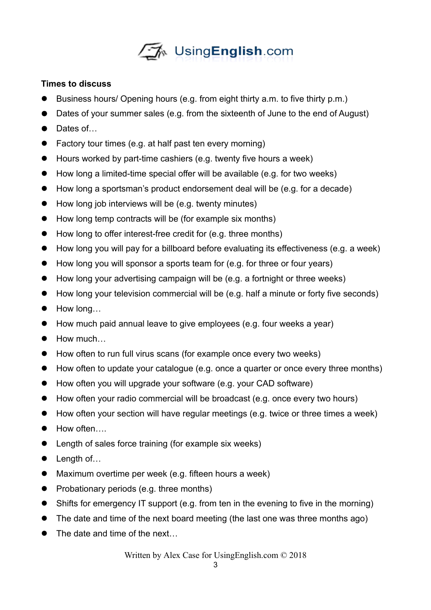

## **Times to discuss**

- Business hours/ Opening hours (e.g. from eight thirty a.m. to five thirty p.m.)
- Dates of your summer sales (e.g. from the sixteenth of June to the end of August)
- Dates of...
- Factory tour times (e.g. at half past ten every morning)
- Hours worked by part-time cashiers (e.g. twenty five hours a week)
- How long a limited-time special offer will be available (e.g. for two weeks)
- How long a sportsman's product endorsement deal will be (e.g. for a decade)
- How long job interviews will be (e.g. twenty minutes)
- How long temp contracts will be (for example six months)
- How long to offer interest-free credit for (e.g. three months)
- How long you will pay for a billboard before evaluating its effectiveness (e.g. a week)
- How long you will sponsor a sports team for (e.g. for three or four years)
- How long your advertising campaign will be (e.g. a fortnight or three weeks)
- How long your television commercial will be (e.g. half a minute or forty five seconds)
- How long…
- How much paid annual leave to give employees (e.g. four weeks a year)
- $\bullet$  How much
- How often to run full virus scans (for example once every two weeks)
- How often to update your catalogue (e.g. once a quarter or once every three months)
- How often you will upgrade your software (e.g. your CAD software)
- How often your radio commercial will be broadcast (e.g. once every two hours)
- How often your section will have regular meetings (e.g. twice or three times a week)
- How often….
- Length of sales force training (for example six weeks)
- Length of...
- Maximum overtime per week (e.g. fifteen hours a week)
- Probationary periods (e.g. three months)
- Shifts for emergency IT support (e.g. from ten in the evening to five in the morning)
- The date and time of the next board meeting (the last one was three months ago)
- The date and time of the next...

Written by Alex Case for UsingEnglish.com © 2018